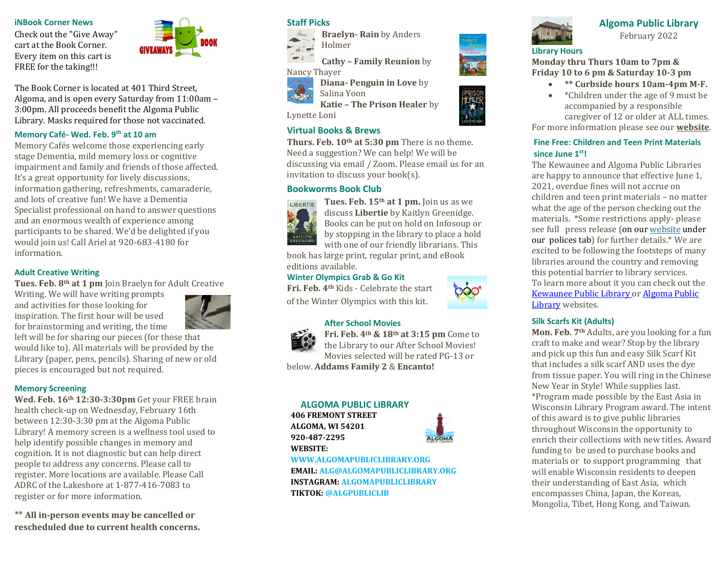#### **iNBook Corner News**

Check out the "Give Away" cart at the Book Corner. Every item on this cart is FREE for the taking!!!



The Book Corner is located at 401 Third Street, Algoma, and is open every Saturday from 11:00am – 3:00pm. All proceeds benefit the Algoma Public Library. Masks required for those not vaccinated.

# **Memory Café- Wed. Feb. 9th at 10 am**

Memory Cafés welcome those experiencing early stage Dementia, mild memory loss or cognitive impairment and family and friends of those affected. It's a great opportunity for lively discussions, information gathering, refreshments, camaraderie, and lots of creative fun! We have a Dementia Specialist professional on hand to answer questions and an enormous wealth of experience among participants to be shared. We'd be delighted if you would join us! Call Ariel at 920-683-4180 for information.

#### **Adult Creative Writing**

**Tues. Feb. 8th at 1 pm** Join Braelyn for Adult Creative

Writing. We will have writing prompts and activities for those looking for inspiration. The first hour will be used for brainstorming and writing, the time



left will be for sharing our pieces (for those that would like to). All materials will be provided by the Library (paper, pens, pencils). Sharing of new or old pieces is encouraged but not required.

# **Memory Screening**

**Wed. Feb. 16th 12:30-3:30pm** Get your FREE brain health check-up on Wednesday, February 16th between 12:30-3:30 pm at the Algoma Public Library! A memory screen is a wellness tool used to help identify possible changes in memory and cognition. It is not diagnostic but can help direct people to address any concerns. Please call to register. More locations are available. Please Call ADRC of the Lakeshore at 1-877-416-7083 to register or for more information.

\*\* **All in-person events may be cancelled or rescheduled due to current health concerns.**

# **Staff Picks**



**Braelyn- Rain** by Anders Holmer

**Cathy – Family Reunion** by



**Diana- Penguin in Love** by

Salina Yoon **Katie – The Prison Healer** by

Lynette Loni

# **Virtual Books & Brews**

**Thurs. Feb. 10th at 5:30 pm** There is no theme. Need a suggestion? We can help! We will be discussing via email / Zoom. Please email us for an invitation to discuss your book(s).

# **Bookworms Book Club**



**Tues. Feb. 15th at 1 pm.** Join us as we discuss **Libertie** by Kaitlyn Greenidge. Books can be put on hold on Infosoup or by stopping in the library to place a hold with one of our friendly librarians. This

book has large print, regular print, and eBook editions available.

#### **Winter Olympics Grab & Go Kit**

**Fri. Feb. 4th** Kids - Celebrate the start of the Winter Olympics with this kit.

### **After School Movies**



**Fri. Feb. 4th & 18th at 3:15 pm** Come to the Library to our After School Movies! Movies selected will be rated PG-13 or

below. **Addams Family 2** & **Encanto!**

#### **ALGOMA PUBLIC LIBRARY**

**406 FREMONT STREET ALGOMA, WI 54201 920-487-2295 WEBSITE:** 



**WWW.ALGOMAPUBLICLIBRARY.ORG EMAIL: ALG@ALGOMAPUBLICLIBRARY.ORG INSTAGRAM: ALGOMAPUBLICLIBRARY TIKTOK: @ALGPUBLICLIB**



# **Algoma Public Library** February 2022

# **Library Hours**

**Monday thru Thurs 10am to 7pm & Friday 10 to 6 pm & Saturday 10-3 pm**

- **\*\* Curbside hours 10am-4pm M-F.**
- \*Children under the age of 9 must be accompanied by a responsible caregiver of 12 or older at ALL times.

For more information please see our **[website](https://www.algomapubliclibrary.org/reopening-plan.html)**.

# **Fine Free: Children and Teen Print Materials since June 1st!**

The Kewaunee and Algoma Public Libraries are happy to announce that effective June 1, 2021, overdue fines will not accrue on children and teen print materials – no matter what the age of the person checking out the materials. \*Some restrictions apply- please see full press release (on our [website](https://www.algomapubliclibrary.org/fine-free-press-release.html) under our polices tab) for further details.\* We are excited to be following the footsteps of many libraries around the country and removing this potential barrier to library services. To learn more about it you can check out the [Kewaunee Public Library o](https://www.kewauneepubliclibrary.org/)[r Algoma Public](https://www.algomapubliclibrary.org/)  [Library](https://www.algomapubliclibrary.org/) websites.

#### **Silk Scarfs Kit (Adults)**

**Mon. Feb. 7th** Adults, are you looking for a fun craft to make and wear? Stop by the library and pick up this fun and easy Silk Scarf Kit that includes a silk scarf AND uses the dye from tissue paper. You will ring in the Chinese New Year in Style! While supplies last. \*Program made possible by the East Asia in Wisconsin Library Program award. The intent of this award is to give public libraries throughout Wisconsin the opportunity to enrich their collections with new titles. Award funding to be used to purchase books and materials or to support programming that will enable Wisconsin residents to deepen their understanding of East Asia, which encompasses China, Japan, the Koreas, Mongolia, Tibet, Hong Kong, and Taiwan.